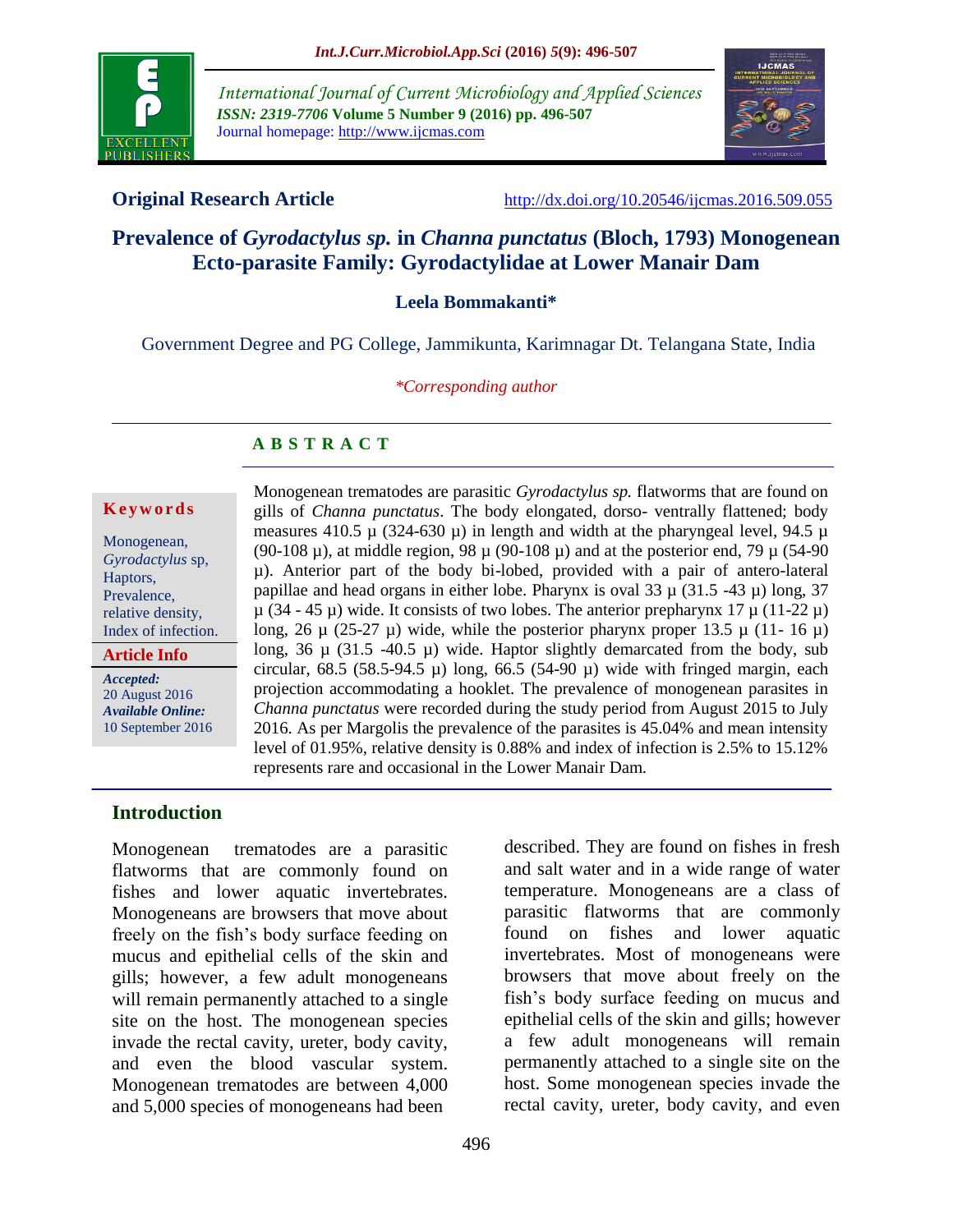

*International Journal of Current Microbiology and Applied Sciences ISSN: 2319-7706* **Volume 5 Number 9 (2016) pp. 496-507** Journal homepage: http://www.ijcmas.com



**Original Research Article** <http://dx.doi.org/10.20546/ijcmas.2016.509.055>

# **Prevalence of** *Gyrodactylus sp.* **in** *Channa punctatus* **(Bloch, 1793) Monogenean Ecto-parasite Family: Gyrodactylidae at Lower Manair Dam**

**Leela Bommakanti\***

Government Degree and PG College, Jammikunta, Karimnagar Dt. Telangana State, India

*\*Corresponding author*

#### **A B S T R A C T**

#### **K e y w o r d s**

Monogenean, *Gyrodactylus* sp, Haptors, Prevalence, relative density, Index of infection.

**Article Info**

*Accepted:*  20 August 2016 *Available Online:* 10 September 2016 Monogenean trematodes are parasitic *Gyrodactylus sp.* flatworms that are found on gills of *Channa punctatus*. The body elongated, dorso- ventrally flattened; body measures 410.5  $\mu$  (324-630  $\mu$ ) in length and width at the pharyngeal level, 94.5  $\mu$ (90-108  $\mu$ ), at middle region, 98  $\mu$  (90-108  $\mu$ ) and at the posterior end, 79  $\mu$  (54-90) µ). Anterior part of the body bi-lobed, provided with a pair of antero-lateral papillae and head organs in either lobe. Pharynx is oval  $33 \mu (31.5 -43 \mu)$  long,  $37$  $\mu$  (34 - 45  $\mu$ ) wide. It consists of two lobes. The anterior prepharynx 17  $\mu$  (11-22  $\mu$ ) long, 26  $\mu$  (25-27  $\mu$ ) wide, while the posterior pharynx proper 13.5  $\mu$  (11- 16  $\mu$ ) long, 36  $\mu$  (31.5 -40.5  $\mu$ ) wide. Haptor slightly demarcated from the body, sub circular, 68.5 (58.5-94.5  $\mu$ ) long, 66.5 (54-90  $\mu$ ) wide with fringed margin, each projection accommodating a hooklet. The prevalence of monogenean parasites in *Channa punctatus* were recorded during the study period from August 2015 to July 2016. As per Margolis the prevalence of the parasites is 45.04% and mean intensity level of 01.95%, relative density is 0.88% and index of infection is 2.5% to 15.12% represents rare and occasional in the Lower Manair Dam.

## **Introduction**

Monogenean trematodes are a parasitic flatworms that are commonly found on fishes and lower aquatic invertebrates. Monogeneans are browsers that move about freely on the fish's body surface feeding on mucus and epithelial cells of the skin and gills; however, a few adult monogeneans will remain permanently attached to a single site on the host. The monogenean species invade the rectal cavity, ureter, body cavity, and even the blood vascular system. Monogenean trematodes are between 4,000 and 5,000 species of monogeneans had been

described. They are found on fishes in fresh and salt water and in a wide range of water temperature. Monogeneans are a class of parasitic flatworms that are commonly found on fishes and lower aquatic invertebrates. Most of monogeneans were browsers that move about freely on the fish's body surface feeding on mucus and epithelial cells of the skin and gills; however a few adult monogeneans will remain permanently attached to a single site on the host. Some monogenean species invade the rectal cavity, ureter, body cavity, and even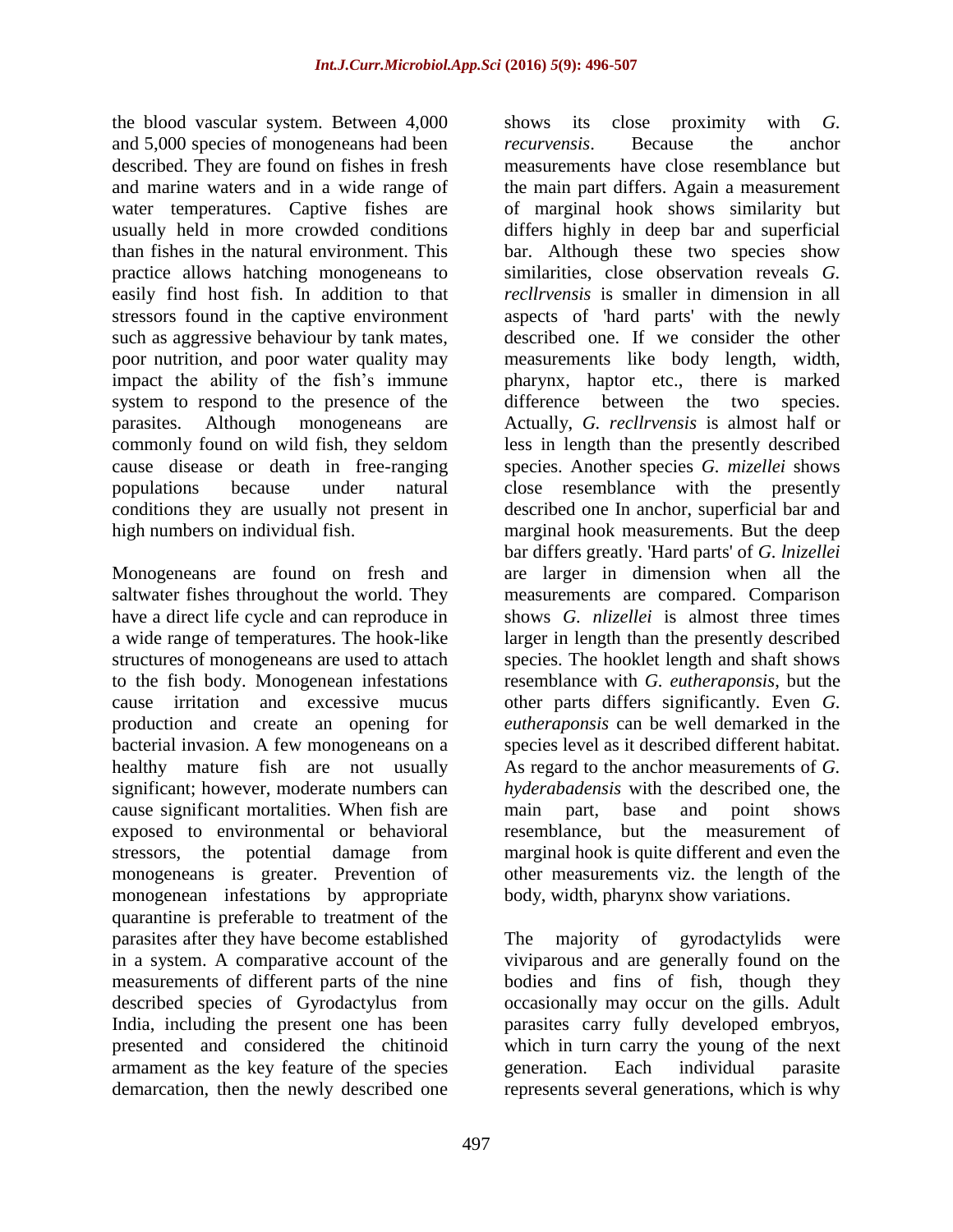the blood vascular system. Between 4,000 and 5,000 species of monogeneans had been described. They are found on fishes in fresh and marine waters and in a wide range of water temperatures. Captive fishes are usually held in more crowded conditions than fishes in the natural environment. This practice allows hatching monogeneans to easily find host fish. In addition to that stressors found in the captive environment such as aggressive behaviour by tank mates, poor nutrition, and poor water quality may impact the ability of the fish's immune system to respond to the presence of the parasites. Although monogeneans are commonly found on wild fish, they seldom cause disease or death in free-ranging populations because under natural conditions they are usually not present in high numbers on individual fish.

Monogeneans are found on fresh and saltwater fishes throughout the world. They have a direct life cycle and can reproduce in a wide range of temperatures. The hook-like structures of monogeneans are used to attach to the fish body. Monogenean infestations cause irritation and excessive mucus production and create an opening for bacterial invasion. A few monogeneans on a healthy mature fish are not usually significant; however, moderate numbers can cause significant mortalities. When fish are exposed to environmental or behavioral stressors, the potential damage from monogeneans is greater. Prevention of monogenean infestations by appropriate quarantine is preferable to treatment of the parasites after they have become established in a system. A comparative account of the measurements of different parts of the nine described species of Gyrodactylus from India, including the present one has been presented and considered the chitinoid armament as the key feature of the species demarcation, then the newly described one

shows its close proximity with *G. recurvensis*. Because the anchor measurements have close resemblance but the main part differs. Again a measurement of marginal hook shows similarity but differs highly in deep bar and superficial bar. Although these two species show similarities, close observation reveals *G. recllrvensis* is smaller in dimension in all aspects of 'hard parts' with the newly described one. If we consider the other measurements like body length, width, pharynx, haptor etc., there is marked difference between the two species. Actually, *G. recllrvensis* is almost half or less in length than the presently described species. Another species *G. mizellei* shows close resemblance with the presently described one In anchor, superficial bar and marginal hook measurements. But the deep bar differs greatly. 'Hard parts' of *G. lnizellei* are larger in dimension when all the measurements are compared. Comparison shows *G. nlizellei* is almost three times larger in length than the presently described species. The hooklet length and shaft shows resemblance with *G. eutheraponsis*, but the other parts differs significantly. Even *G. eutheraponsis* can be well demarked in the species level as it described different habitat. As regard to the anchor measurements of *G. hyderabadensis* with the described one, the main part, base and point shows resemblance, but the measurement of marginal hook is quite different and even the other measurements viz. the length of the body, width, pharynx show variations.

The majority of gyrodactylids were viviparous and are generally found on the bodies and fins of fish, though they occasionally may occur on the gills. Adult parasites carry fully developed embryos, which in turn carry the young of the next generation. Each individual parasite represents several generations, which is why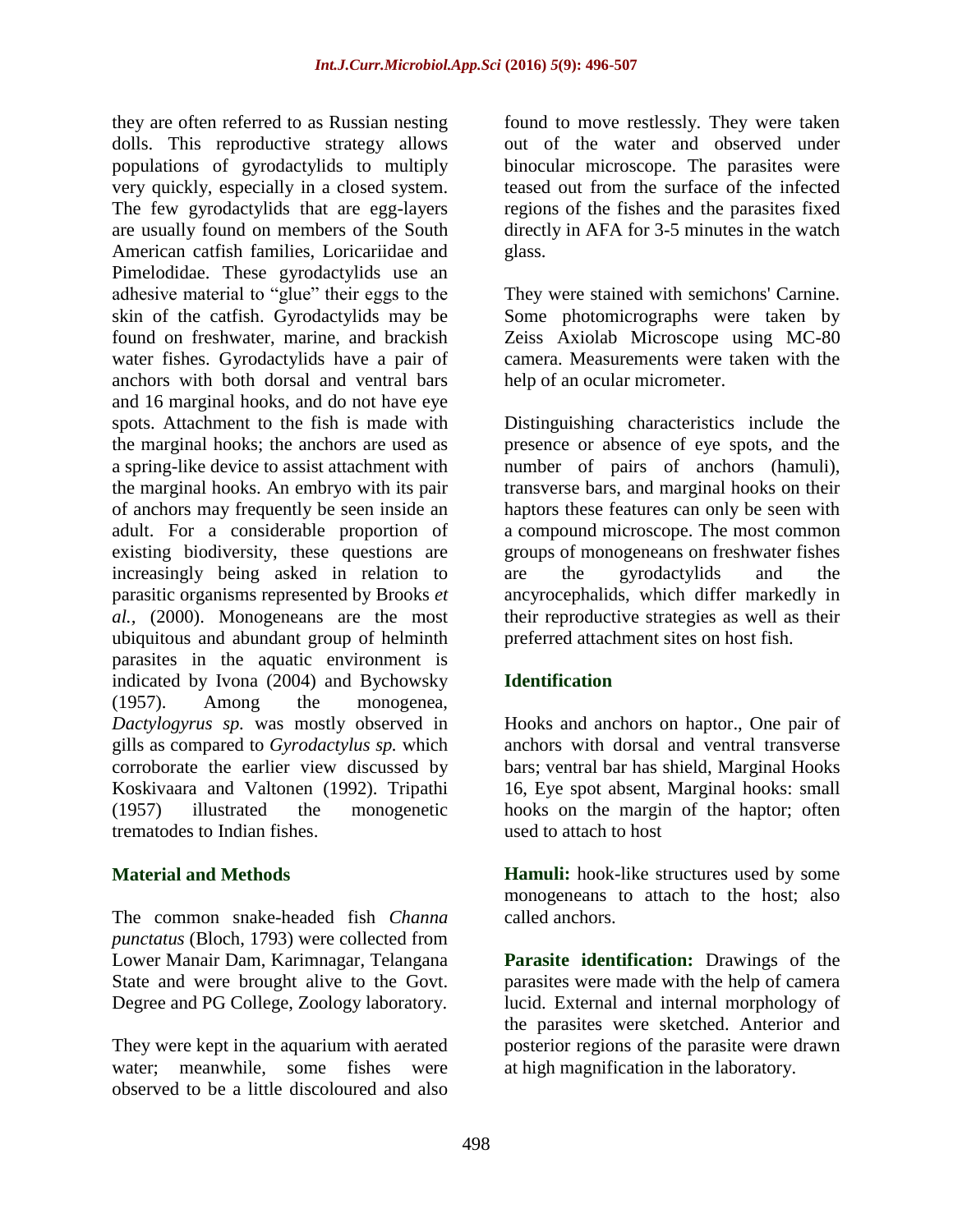they are often referred to as Russian nesting dolls. This reproductive strategy allows populations of gyrodactylids to multiply very quickly, especially in a closed system. The few gyrodactylids that are egg-layers are usually found on members of the South American catfish families, Loricariidae and Pimelodidae. These gyrodactylids use an adhesive material to "glue" their eggs to the skin of the catfish. Gyrodactylids may be found on freshwater, marine, and brackish water fishes. Gyrodactylids have a pair of anchors with both dorsal and ventral bars and 16 marginal hooks, and do not have eye spots. Attachment to the fish is made with the marginal hooks; the anchors are used as a spring-like device to assist attachment with the marginal hooks. An embryo with its pair of anchors may frequently be seen inside an adult. For a considerable proportion of existing biodiversity, these questions are increasingly being asked in relation to parasitic organisms represented by Brooks *et al.,* (2000). Monogeneans are the most ubiquitous and abundant group of helminth parasites in the aquatic environment is indicated by Ivona (2004) and Bychowsky (1957). Among the monogenea, *Dactylogyrus sp.* was mostly observed in gills as compared to *Gyrodactylus sp.* which corroborate the earlier view discussed by Koskivaara and Valtonen (1992). Tripathi (1957) illustrated the monogenetic trematodes to Indian fishes.

## **Material and Methods**

The common snake-headed fish *Channa punctatus* (Bloch, 1793) were collected from Lower Manair Dam, Karimnagar, Telangana State and were brought alive to the Govt. Degree and PG College, Zoology laboratory.

They were kept in the aquarium with aerated water; meanwhile, some fishes were observed to be a little discoloured and also

found to move restlessly. They were taken out of the water and observed under binocular microscope. The parasites were teased out from the surface of the infected regions of the fishes and the parasites fixed directly in AFA for 3-5 minutes in the watch glass.

They were stained with semichons' Carnine. Some photomicrographs were taken by Zeiss Axiolab Microscope using MC-80 camera. Measurements were taken with the help of an ocular micrometer.

Distinguishing characteristics include the presence or absence of eye spots, and the number of pairs of anchors (hamuli), transverse bars, and marginal hooks on their haptors these features can only be seen with a compound microscope. The most common groups of monogeneans on freshwater fishes are the gyrodactylids and the ancyrocephalids, which differ markedly in their reproductive strategies as well as their preferred attachment sites on host fish.

# **Identification**

Hooks and anchors on haptor., One pair of anchors with dorsal and ventral transverse bars; ventral bar has shield, Marginal Hooks 16, Eye spot absent, Marginal hooks: small hooks on the margin of the haptor; often used to attach to host

**Hamuli:** hook-like structures used by some monogeneans to attach to the host; also called anchors.

**Parasite identification:** Drawings of the parasites were made with the help of camera lucid. External and internal morphology of the parasites were sketched. Anterior and posterior regions of the parasite were drawn at high magnification in the laboratory.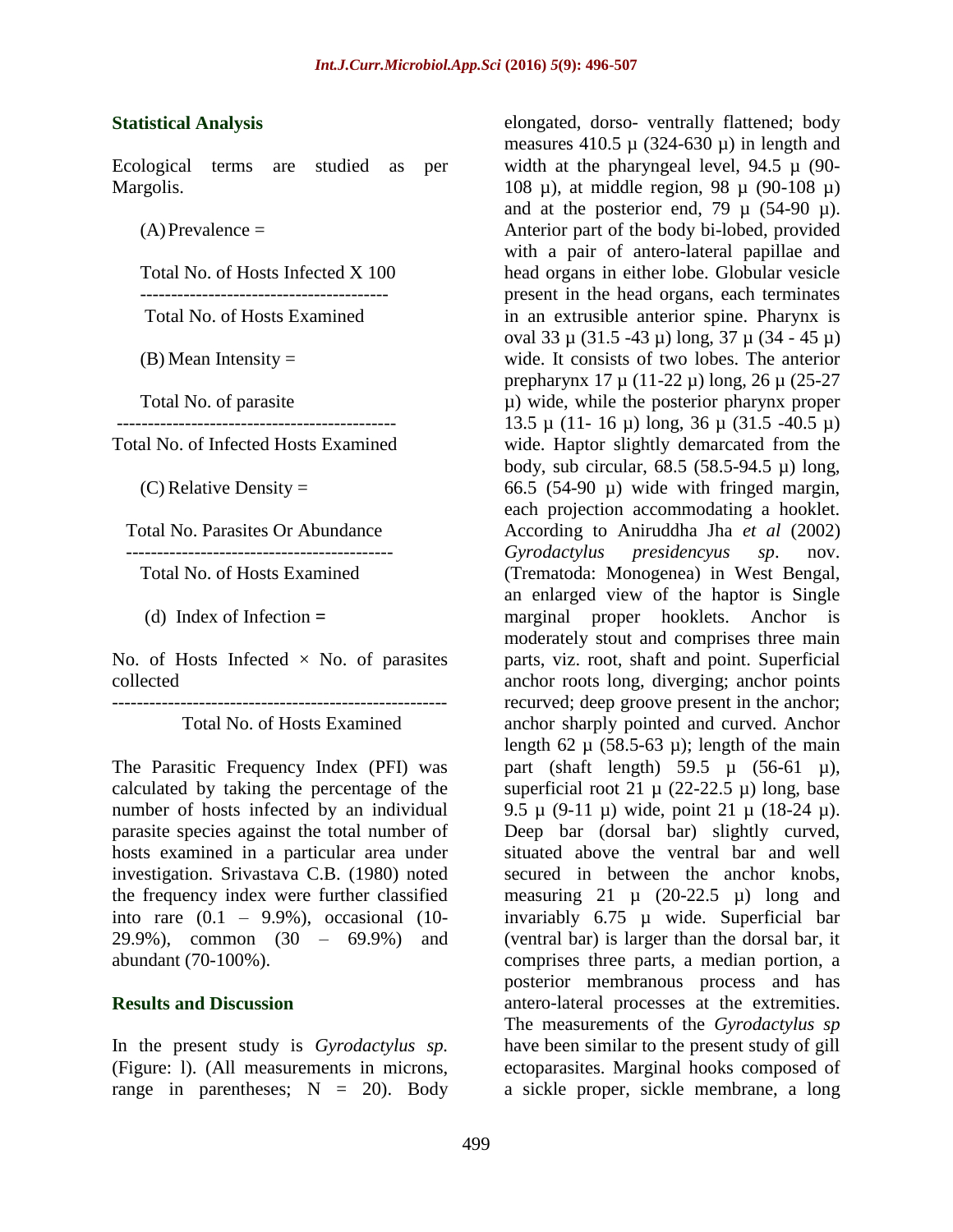#### **Statistical Analysis**

Ecological terms are studied as per Margolis.

 $(A)$ Prevalence =

Total No. of Hosts Infected X 100

 ---------------------------------------- Total No. of Hosts Examined

 $(B)$  Mean Intensity  $=$ 

Total No. of parasite

Total No. of Infected Hosts Examined

(C) Relative Density  $=$ 

Total No. Parasites Or Abundance

-------------------------------------------

Total No. of Hosts Examined

(d) Index of Infection **=** 

No. of Hosts Infected  $\times$  No. of parasites collected

------------------------------------------------------

Total No. of Hosts Examined

The Parasitic Frequency Index (PFI) was calculated by taking the percentage of the number of hosts infected by an individual parasite species against the total number of hosts examined in a particular area under investigation. Srivastava C.B. (1980) noted the frequency index were further classified into rare  $(0.1 - 9.9\%)$ , occasional  $(10$ -29.9%), common (30 – 69.9%) and abundant (70-100%).

## **Results and Discussion**

In the present study is *Gyrodactylus sp.* (Figure: l). (All measurements in microns, range in parentheses;  $N = 20$ . Body elongated, dorso- ventrally flattened; body measures 410.5  $\mu$  (324-630  $\mu$ ) in length and width at the pharyngeal level,  $94.5 \mu$  (90-108 µ), at middle region, 98 µ (90-108 µ) and at the posterior end, 79  $\mu$  (54-90  $\mu$ ). Anterior part of the body bi-lobed, provided with a pair of antero-lateral papillae and head organs in either lobe. Globular vesicle present in the head organs, each terminates in an extrusible anterior spine. Pharynx is oval 33 µ (31.5 -43 µ) long, 37 µ (34 - 45 µ) wide. It consists of two lobes. The anterior prepharynx 17 µ (11-22 µ) long, 26 µ (25-27 µ) wide, while the posterior pharynx proper 13.5 µ (11- 16 µ) long, 36 µ (31.5 -40.5 µ) wide. Haptor slightly demarcated from the body, sub circular,  $68.5$   $(58.5-94.5 \mu)$  long, 66.5 (54-90  $\mu$ ) wide with fringed margin, each projection accommodating a hooklet. According to Aniruddha Jha *et al* (2002) *Gyrodactylus presidencyus sp*. nov. (Trematoda: Monogenea) in West Bengal, an enlarged view of the haptor is Single marginal proper hooklets. Anchor is moderately stout and comprises three main parts, viz. root, shaft and point. Superficial anchor roots long, diverging; anchor points recurved; deep groove present in the anchor; anchor sharply pointed and curved. Anchor length 62  $\mu$  (58.5-63  $\mu$ ); length of the main part (shaft length) 59.5  $\mu$  (56-61  $\mu$ ), superficial root 21  $\mu$  (22-22.5  $\mu$ ) long, base 9.5  $\mu$  (9-11  $\mu$ ) wide, point 21  $\mu$  (18-24  $\mu$ ). Deep bar (dorsal bar) slightly curved, situated above the ventral bar and well secured in between the anchor knobs, measuring  $21 \mu$  (20-22.5  $\mu$ ) long and invariably 6.75 µ wide. Superficial bar (ventral bar) is larger than the dorsal bar, it comprises three parts, a median portion, a posterior membranous process and has antero-lateral processes at the extremities. The measurements of the *Gyrodactylus sp* have been similar to the present study of gill ectoparasites. Marginal hooks composed of a sickle proper, sickle membrane, a long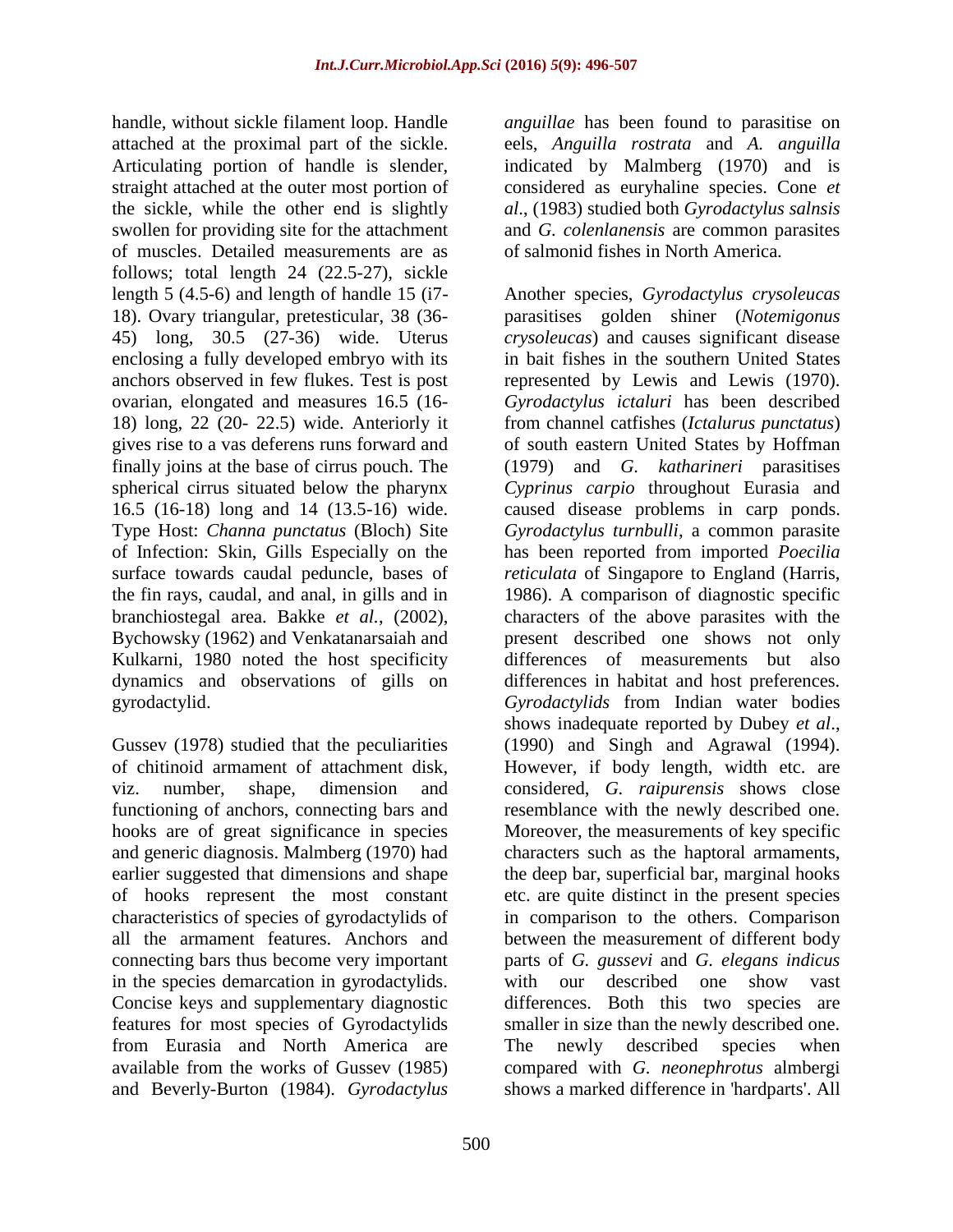handle, without sickle filament loop. Handle attached at the proximal part of the sickle. Articulating portion of handle is slender, straight attached at the outer most portion of the sickle, while the other end is slightly swollen for providing site for the attachment of muscles. Detailed measurements are as follows; total length 24 (22.5-27), sickle length 5 (4.5-6) and length of handle 15 (i7- 18). Ovary triangular, pretesticular, 38 (36- 45) long, 30.5 (27-36) wide. Uterus enclosing a fully developed embryo with its anchors observed in few flukes. Test is post ovarian, elongated and measures 16.5 (16- 18) long, 22 (20- 22.5) wide. Anteriorly it gives rise to a vas deferens runs forward and finally joins at the base of cirrus pouch. The spherical cirrus situated below the pharynx 16.5 (16-18) long and 14 (13.5-16) wide. Type Host: *Channa punctatus* (Bloch) Site of Infection: Skin, Gills Especially on the surface towards caudal peduncle, bases of the fin rays, caudal, and anal, in gills and in branchiostegal area. Bakke *et al.*, (2002), Bychowsky (1962) and Venkatanarsaiah and Kulkarni, 1980 noted the host specificity dynamics and observations of gills on gyrodactylid.

Gussev (1978) studied that the peculiarities of chitinoid armament of attachment disk, viz. number, shape, dimension and functioning of anchors, connecting bars and hooks are of great significance in species and generic diagnosis. Malmberg (1970) had earlier suggested that dimensions and shape of hooks represent the most constant characteristics of species of gyrodactylids of all the armament features. Anchors and connecting bars thus become very important in the species demarcation in gyrodactylids. Concise keys and supplementary diagnostic features for most species of Gyrodactylids from Eurasia and North America are available from the works of Gussev (1985) and Beverly-Burton (1984). *Gyrodactylus* 

*anguillae* has been found to parasitise on eels, *Anguilla rostrata* and *A. anguilla* indicated by Malmberg (1970) and is considered as euryhaline species. Cone *et al*., (1983) studied both *Gyrodactylus salnsis* and *G. colenlanensis* are common parasites of salmonid fishes in North America.

Another species, *Gyrodactylus crysoleucas* parasitises golden shiner (*Notemigonus crysoleucas*) and causes significant disease in bait fishes in the southern United States represented by Lewis and Lewis (1970). *Gyrodactylus ictaluri* has been described from channel catfishes (*Ictalurus punctatus*) of south eastern United States by Hoffman (1979) and *G. katharineri* parasitises *Cyprinus carpio* throughout Eurasia and caused disease problems in carp ponds. *Gyrodactylus turnbulli*, a common parasite has been reported from imported *Poecilia reticulata* of Singapore to England (Harris, 1986). A comparison of diagnostic specific characters of the above parasites with the present described one shows not only differences of measurements but also differences in habitat and host preferences. *Gyrodactylids* from Indian water bodies shows inadequate reported by Dubey *et al*., (1990) and Singh and Agrawal (1994). However, if body length, width etc. are considered, *G. raipurensis* shows close resemblance with the newly described one. Moreover, the measurements of key specific characters such as the haptoral armaments, the deep bar, superficial bar, marginal hooks etc. are quite distinct in the present species in comparison to the others. Comparison between the measurement of different body parts of *G. gussevi* and *G. elegans indicus* with our described one show vast differences. Both this two species are smaller in size than the newly described one. The newly described species when compared with *G. neonephrotus* almbergi shows a marked difference in 'hardparts'. All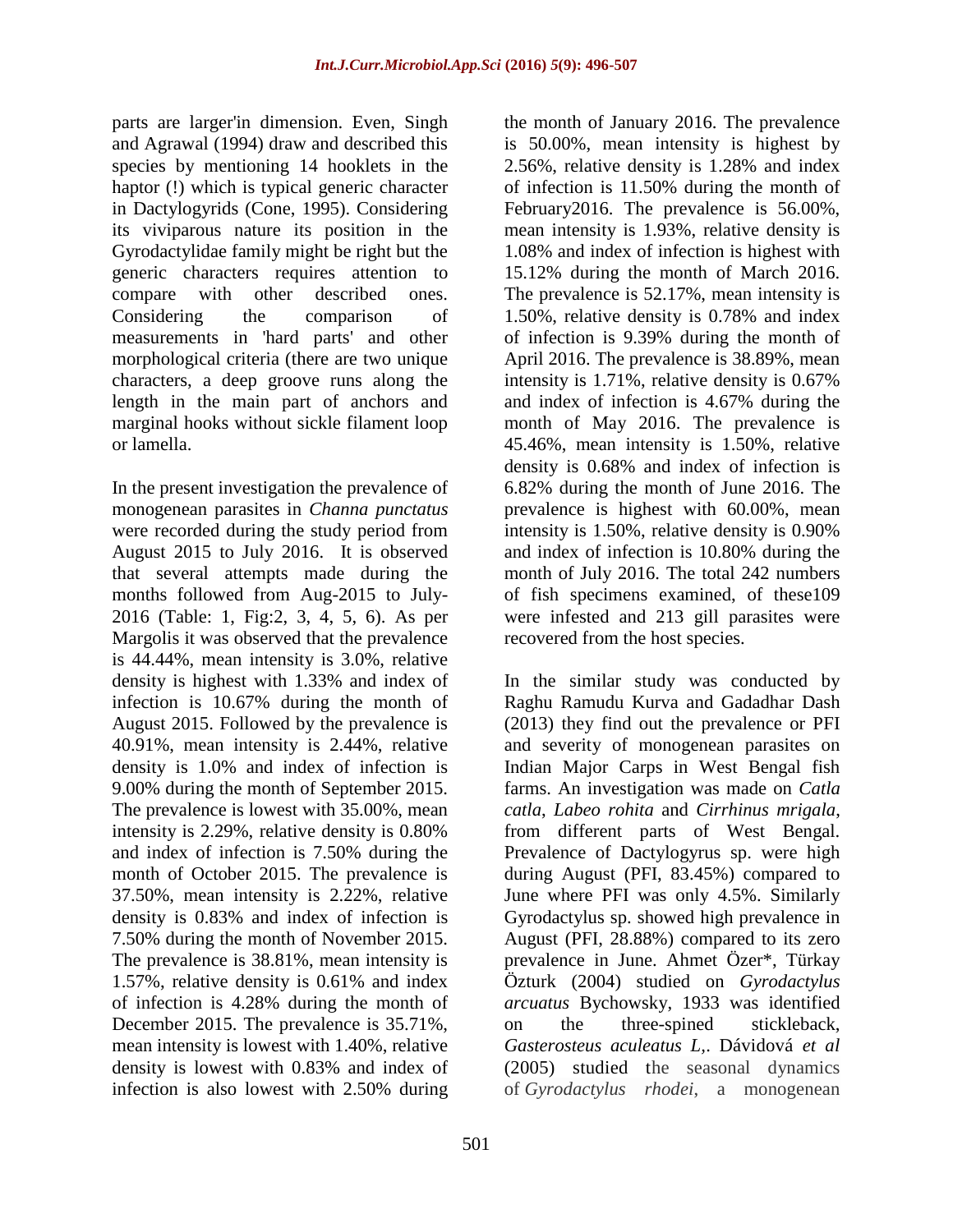parts are larger'in dimension. Even, Singh and Agrawal (1994) draw and described this species by mentioning 14 hooklets in the haptor (!) which is typical generic character in Dactylogyrids (Cone, 1995). Considering its viviparous nature its position in the Gyrodactylidae family might be right but the generic characters requires attention to compare with other described ones. Considering the comparison of measurements in 'hard parts' and other morphological criteria (there are two unique characters, a deep groove runs along the length in the main part of anchors and marginal hooks without sickle filament loop or lamella.

In the present investigation the prevalence of monogenean parasites in *Channa punctatus* were recorded during the study period from August 2015 to July 2016. It is observed that several attempts made during the months followed from Aug-2015 to July-2016 (Table: 1, Fig:2, 3, 4, 5, 6). As per Margolis it was observed that the prevalence is 44.44%, mean intensity is 3.0%, relative density is highest with 1.33% and index of infection is 10.67% during the month of August 2015. Followed by the prevalence is 40.91%, mean intensity is 2.44%, relative density is 1.0% and index of infection is 9.00% during the month of September 2015. The prevalence is lowest with 35.00%, mean intensity is 2.29%, relative density is 0.80% and index of infection is 7.50% during the month of October 2015. The prevalence is 37.50%, mean intensity is 2.22%, relative density is 0.83% and index of infection is 7.50% during the month of November 2015. The prevalence is 38.81%, mean intensity is 1.57%, relative density is 0.61% and index of infection is 4.28% during the month of December 2015. The prevalence is 35.71%, mean intensity is lowest with 1.40%, relative density is lowest with 0.83% and index of infection is also lowest with 2.50% during

the month of January 2016. The prevalence is 50.00%, mean intensity is highest by 2.56%, relative density is 1.28% and index of infection is 11.50% during the month of February2016. The prevalence is 56.00%, mean intensity is 1.93%, relative density is 1.08% and index of infection is highest with 15.12% during the month of March 2016. The prevalence is 52.17%, mean intensity is 1.50%, relative density is 0.78% and index of infection is 9.39% during the month of April 2016. The prevalence is 38.89%, mean intensity is 1.71%, relative density is 0.67% and index of infection is 4.67% during the month of May 2016. The prevalence is 45.46%, mean intensity is 1.50%, relative density is 0.68% and index of infection is 6.82% during the month of June 2016. The prevalence is highest with 60.00%, mean intensity is 1.50%, relative density is 0.90% and index of infection is 10.80% during the month of July 2016. The total 242 numbers of fish specimens examined, of these109 were infested and 213 gill parasites were recovered from the host species.

In the similar study was conducted by Raghu Ramudu Kurva and Gadadhar Dash (2013) they find out the prevalence or PFI and severity of monogenean parasites on Indian Major Carps in West Bengal fish farms. An investigation was made on *Catla catla*, *Labeo rohita* and *Cirrhinus mrigala*, from different parts of West Bengal. Prevalence of Dactylogyrus sp. were high during August (PFI, 83.45%) compared to June where PFI was only 4.5%. Similarly Gyrodactylus sp. showed high prevalence in August (PFI, 28.88%) compared to its zero prevalence in June. Ahmet Özer\*, Türkay Özturk (2004) studied on *Gyrodactylus arcuatus* Bychowsky, 1933 was identified on the three-spined stickleback, *Gasterosteus aculeatus L,*. [Dávidová](http://link.springer.com/article/10.1007/s00436-005-1311-0#author-details-1) *et al* (2005) studied the seasonal dynamics of *Gyrodactylus rhodei*, a monogenean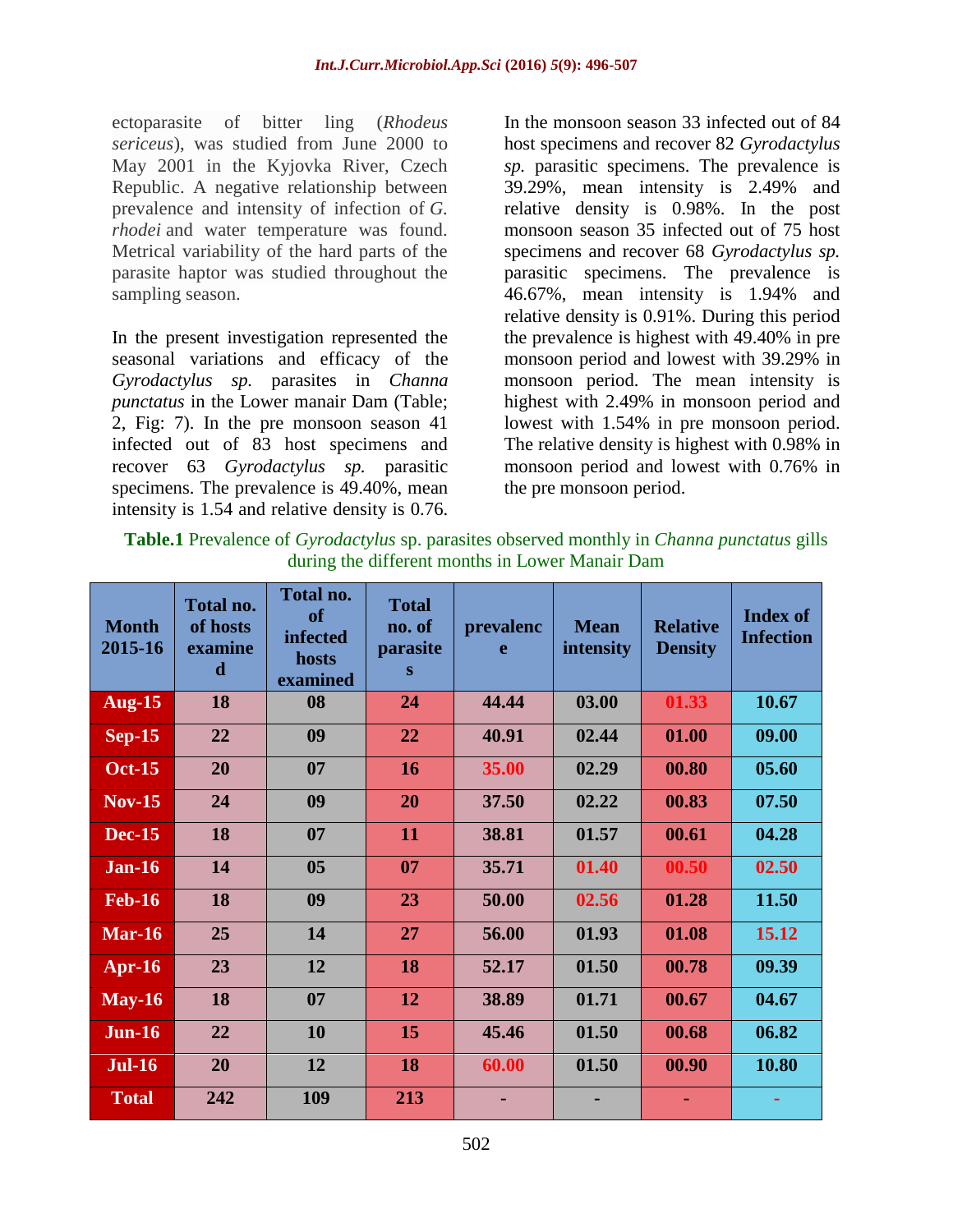ectoparasite of bitter ling (*Rhodeus sericeus*), was studied from June 2000 to May 2001 in the Kyjovka River, Czech Republic. A negative relationship between prevalence and intensity of infection of *G. rhodei* and water temperature was found. Metrical variability of the hard parts of the parasite haptor was studied throughout the sampling season.

In the present investigation represented the seasonal variations and efficacy of the *Gyrodactylus sp.* parasites in *Channa punctatus* in the Lower manair Dam (Table; 2, Fig: 7). In the pre monsoon season 41 infected out of 83 host specimens and recover 63 *Gyrodactylus sp.* parasitic specimens. The prevalence is 49.40%, mean intensity is 1.54 and relative density is 0.76.

In the monsoon season 33 infected out of 84 host specimens and recover 82 *Gyrodactylus sp.* parasitic specimens. The prevalence is 39.29%, mean intensity is 2.49% and relative density is 0.98%. In the post monsoon season 35 infected out of 75 host specimens and recover 68 *Gyrodactylus sp.* parasitic specimens. The prevalence is 46.67%, mean intensity is 1.94% and relative density is 0.91%. During this period the prevalence is highest with 49.40% in pre monsoon period and lowest with 39.29% in monsoon period. The mean intensity is highest with 2.49% in monsoon period and lowest with 1.54% in pre monsoon period. The relative density is highest with 0.98% in monsoon period and lowest with 0.76% in the pre monsoon period.

| <b>Month</b><br>2015-16 | Total no.<br>of hosts<br>examine<br>d | <b>Total no.</b><br>of<br><b>infected</b><br>hosts<br>examined | <b>Total</b><br>no. of<br>parasite<br>S | prevalenc<br>e | <b>Mean</b><br>intensity | <b>Relative</b><br><b>Density</b> | <b>Index of</b><br><b>Infection</b> |
|-------------------------|---------------------------------------|----------------------------------------------------------------|-----------------------------------------|----------------|--------------------------|-----------------------------------|-------------------------------------|
| <b>Aug-15</b>           | 18                                    | 08                                                             | 24                                      | 44.44          | 03.00                    | 01.33                             | 10.67                               |
| $Sep-15$                | 22                                    | 09                                                             | 22                                      | 40.91          | 02.44                    | 01.00                             | 09.00                               |
| <b>Oct-15</b>           | 20                                    | 07                                                             | <b>16</b>                               | 35.00          | 02.29                    | 00.80                             | 05.60                               |
| $Nov-15$                | 24                                    | 09                                                             | 20                                      | 37.50          | 02.22                    | 00.83                             | 07.50                               |
| <b>Dec-15</b>           | 18                                    | 07                                                             | 11                                      | 38.81          | 01.57                    | 00.61                             | 04.28                               |
| <b>Jan-16</b>           | 14                                    | 0 <sub>5</sub>                                                 | 07                                      | 35.71          | 01.40                    | 00.50                             | 02.50                               |
| <b>Feb-16</b>           | 18                                    | 09                                                             | 23                                      | 50.00          | 02.56                    | 01.28                             | 11.50                               |
| Mar- $16$               | 25                                    | 14                                                             | 27                                      | 56.00          | 01.93                    | 01.08                             | 15.12                               |
| $Apr-16$                | 23                                    | 12                                                             | 18                                      | 52.17          | 01.50                    | 00.78                             | 09.39                               |
| $May-16$                | 18                                    | 07                                                             | 12                                      | 38.89          | 01.71                    | 00.67                             | 04.67                               |
| <b>Jun-16</b>           | 22                                    | 10                                                             | 15                                      | 45.46          | 01.50                    | 00.68                             | 06.82                               |
| <b>Jul-16</b>           | 20                                    | 12                                                             | 18                                      | 60.00          | 01.50                    | 00.90                             | 10.80                               |
| <b>Total</b>            | 242                                   | 109                                                            | 213                                     |                |                          |                                   |                                     |

**Table.1** Prevalence of *Gyrodactylus* sp. parasites observed monthly in *Channa punctatus* gills during the different months in Lower Manair Dam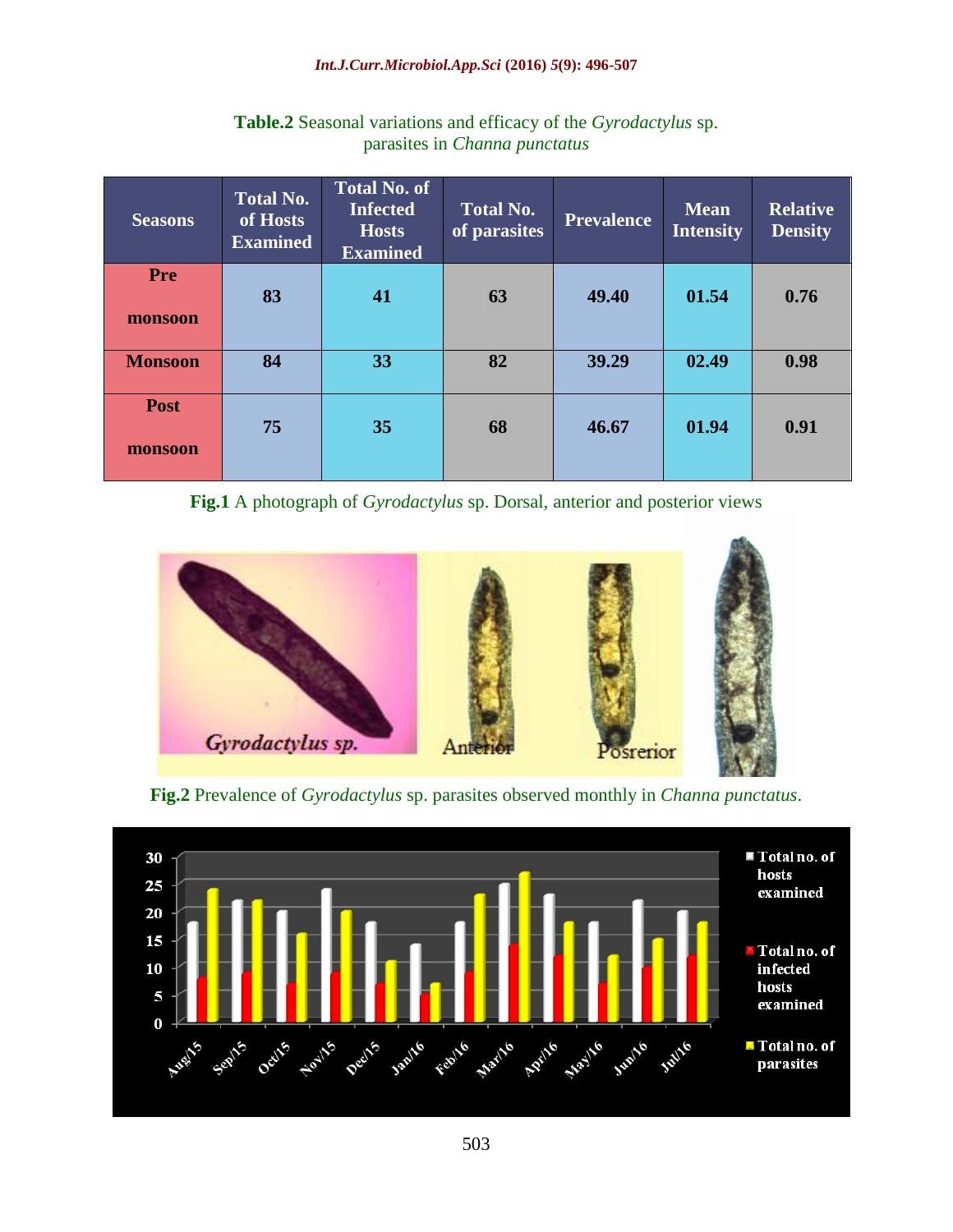#### *Int.J.Curr.Microbiol.App.Sci* **(2016)** *5***(9): 496-507**

| <b>Seasons</b> | <b>Total No.</b><br>of Hosts<br><b>Examined</b> | <b>Total No. of</b><br><b>Infected</b><br><b>Hosts</b><br><b>Examined</b> | <b>Total No.</b><br>of parasites | <b>Prevalence</b> | <b>Mean</b><br><b>Intensity</b> | <b>Relative</b><br><b>Density</b> |
|----------------|-------------------------------------------------|---------------------------------------------------------------------------|----------------------------------|-------------------|---------------------------------|-----------------------------------|
| <b>Pre</b>     |                                                 |                                                                           |                                  |                   |                                 |                                   |
|                | 83                                              | 41                                                                        | 63                               | 49.40             | 01.54                           | 0.76                              |
| monsoon        |                                                 |                                                                           |                                  |                   |                                 |                                   |
| <b>Monsoon</b> | 84                                              | 33                                                                        | 82                               | 39.29             | 02.49                           | 0.98                              |
| <b>Post</b>    |                                                 |                                                                           |                                  |                   |                                 |                                   |
| monsoon        | 75                                              | 35                                                                        | 68                               | 46.67             | 01.94                           | 0.91                              |
|                |                                                 |                                                                           |                                  |                   |                                 |                                   |

## **Table.2** Seasonal variations and efficacy of the *Gyrodactylus* sp. parasites in *Channa punctatus*

**Fig.1** A photograph of *Gyrodactylus* sp. Dorsal, anterior and posterior views





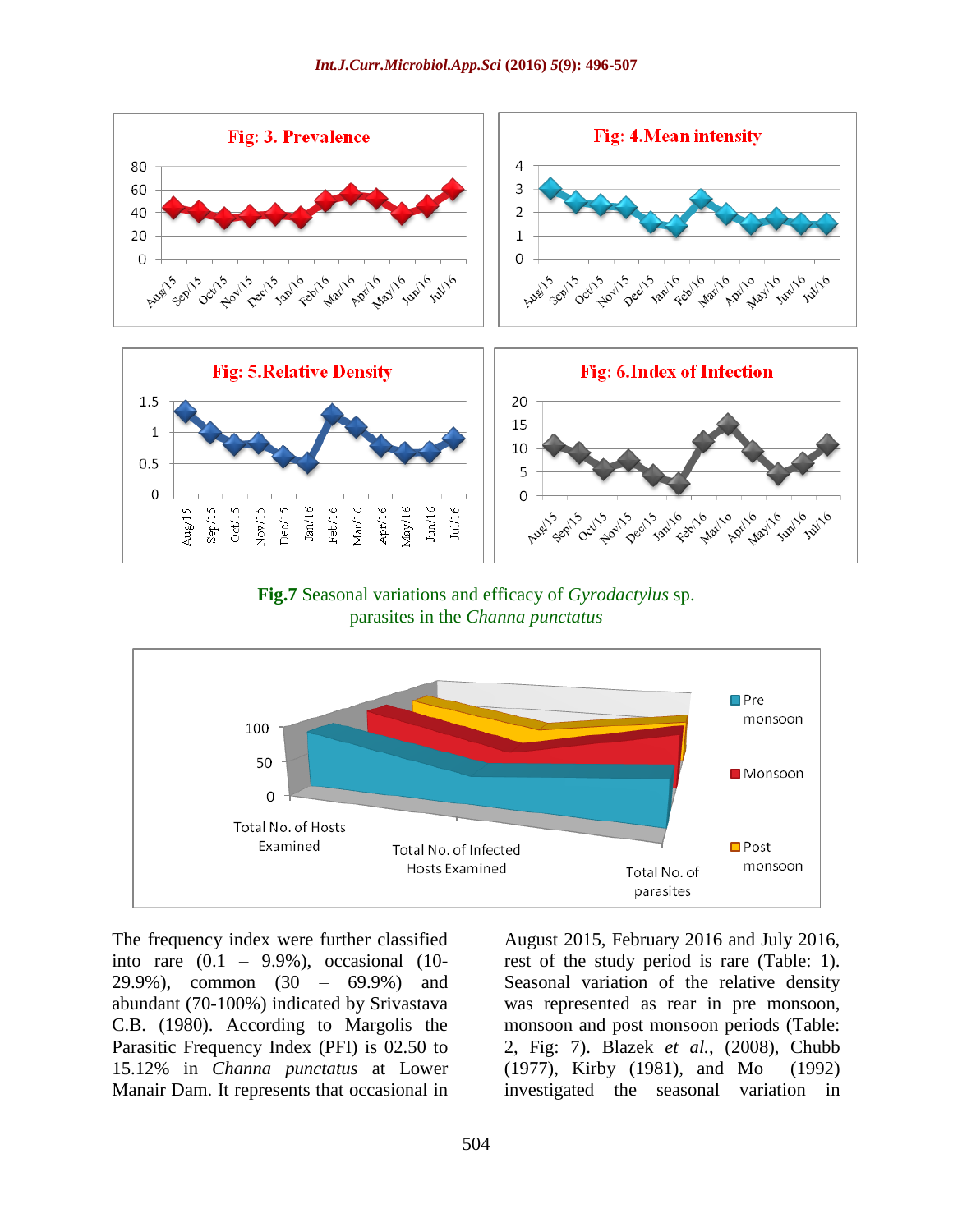

**Fig.7** Seasonal variations and efficacy of *Gyrodactylus* sp. parasites in the *Channa punctatus*



The frequency index were further classified into rare  $(0.1 - 9.9\%)$ , occasional  $(10-$ 29.9%), common (30 – 69.9%) and abundant (70-100%) indicated by Srivastava C.B. (1980). According to Margolis the Parasitic Frequency Index (PFI) is 02.50 to 15.12% in *Channa punctatus* at Lower Manair Dam. It represents that occasional in

August 2015, February 2016 and July 2016, rest of the study period is rare (Table: 1). Seasonal variation of the relative density was represented as rear in pre monsoon, monsoon and post monsoon periods (Table: 2, Fig: 7). Blazek *et al.*, (2008), Chubb (1977), Kirby (1981), and Mo (1992) investigated the seasonal variation in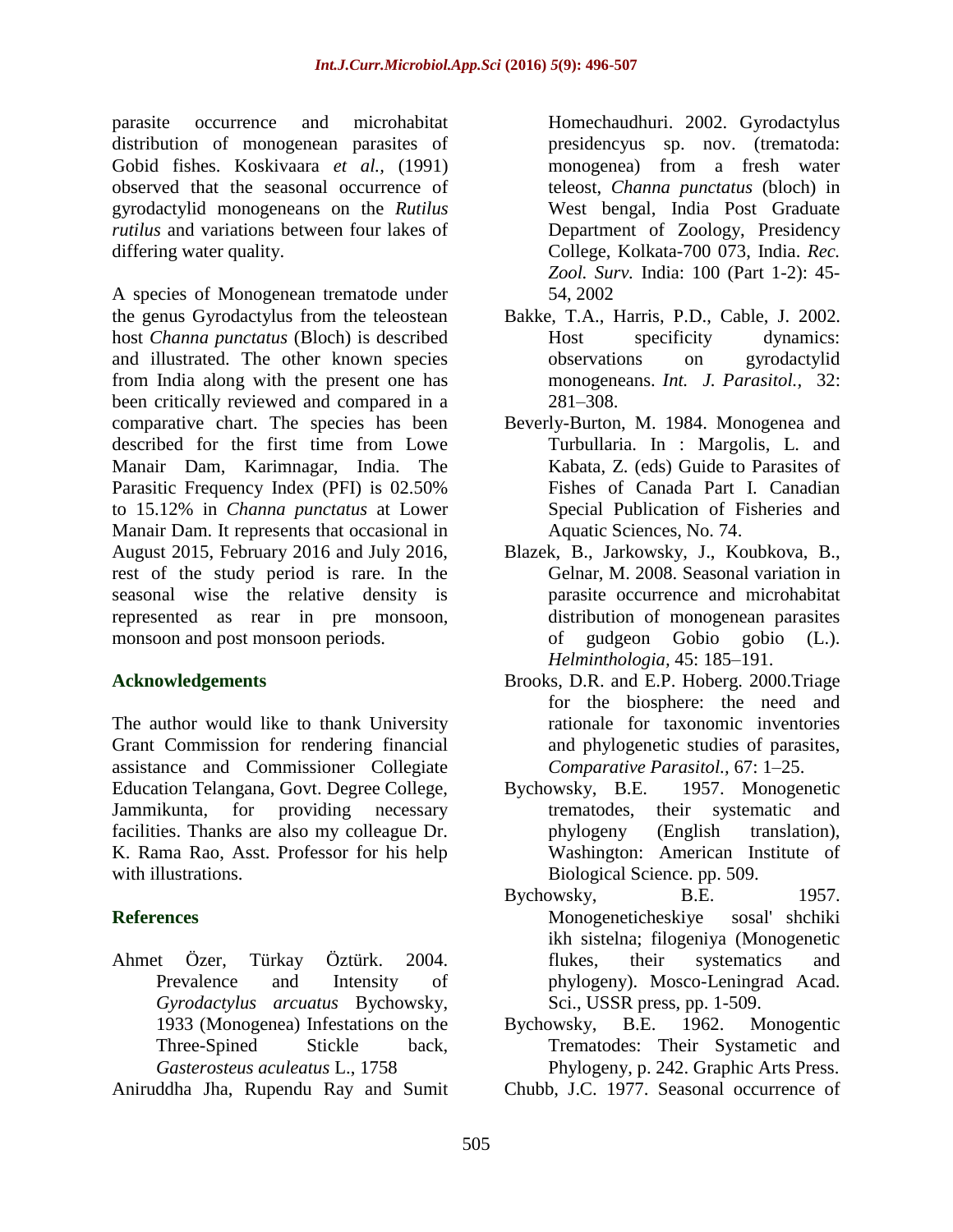parasite occurrence and microhabitat distribution of monogenean parasites of Gobid fishes. Koskivaara *et al.,* (1991) observed that the seasonal occurrence of gyrodactylid monogeneans on the *Rutilus rutilus* and variations between four lakes of differing water quality.

A species of Monogenean trematode under the genus Gyrodactylus from the teleostean host *Channa punctatus* (Bloch) is described and illustrated. The other known species from India along with the present one has been critically reviewed and compared in a comparative chart. The species has been described for the first time from Lowe Manair Dam, Karimnagar, India. The Parasitic Frequency Index (PFI) is 02.50% to 15.12% in *Channa punctatus* at Lower Manair Dam. It represents that occasional in August 2015, February 2016 and July 2016, rest of the study period is rare. In the seasonal wise the relative density is represented as rear in pre monsoon, monsoon and post monsoon periods.

## **Acknowledgements**

The author would like to thank University Grant Commission for rendering financial assistance and Commissioner Collegiate Education Telangana, Govt. Degree College, Jammikunta, for providing necessary facilities. Thanks are also my colleague Dr. K. Rama Rao, Asst. Professor for his help with illustrations.

# **References**

Ahmet Özer, Türkay Öztürk. 2004. Prevalence and Intensity of *Gyrodactylus arcuatus* Bychowsky, 1933 (Monogenea) Infestations on the Three-Spined Stickle back, *Gasterosteus aculeatus* L., 1758

Aniruddha Jha, Rupendu Ray and Sumit

Homechaudhuri. 2002. Gyrodactylus presidencyus sp. nov. (trematoda: monogenea) from a fresh water teleost, *Channa punctatus* (bloch) in West bengal, India Post Graduate Department of Zoology, Presidency College, Kolkata-700 073, India. *Rec. Zool. Surv.* India: 100 (Part 1-2): 45- 54, 2002

- Bakke, T.A., Harris, P.D., Cable, J. 2002. Host specificity dynamics: observations on gyrodactylid monogeneans. *Int. J. Parasitol.,* 32: 281–308.
- Beverly-Burton, M. 1984. Monogenea and Turbullaria. In : Margolis, L. and Kabata, Z. (eds) Guide to Parasites of Fishes of Canada Part I. Canadian Special Publication of Fisheries and Aquatic Sciences, No. 74.
- Blazek, B., Jarkowsky, J., Koubkova, B., Gelnar, M. 2008. Seasonal variation in parasite occurrence and microhabitat distribution of monogenean parasites of gudgeon Gobio gobio (L.). *Helminthologia,* 45: 185–191.
- Brooks, D.R. and E.P. Hoberg. 2000.Triage for the biosphere: the need and rationale for taxonomic inventories and phylogenetic studies of parasites, *Comparative Parasitol.,* 67: 1–25.
- Bychowsky, B.E. 1957. Monogenetic trematodes, their systematic and phylogeny (English translation), Washington: American Institute of Biological Science. pp. 509.
- Bychowsky, B.E. 1957. Monogeneticheskiye sosal' shchiki ikh sistelna; filogeniya (Monogenetic flukes, their systematics and phylogeny). Mosco-Leningrad Acad. Sci., USSR press, pp. 1-509.
- Bychowsky, B.E. 1962. Monogentic Trematodes: Their Systametic and Phylogeny, p. 242. Graphic Arts Press.
- Chubb, J.C. 1977. Seasonal occurrence of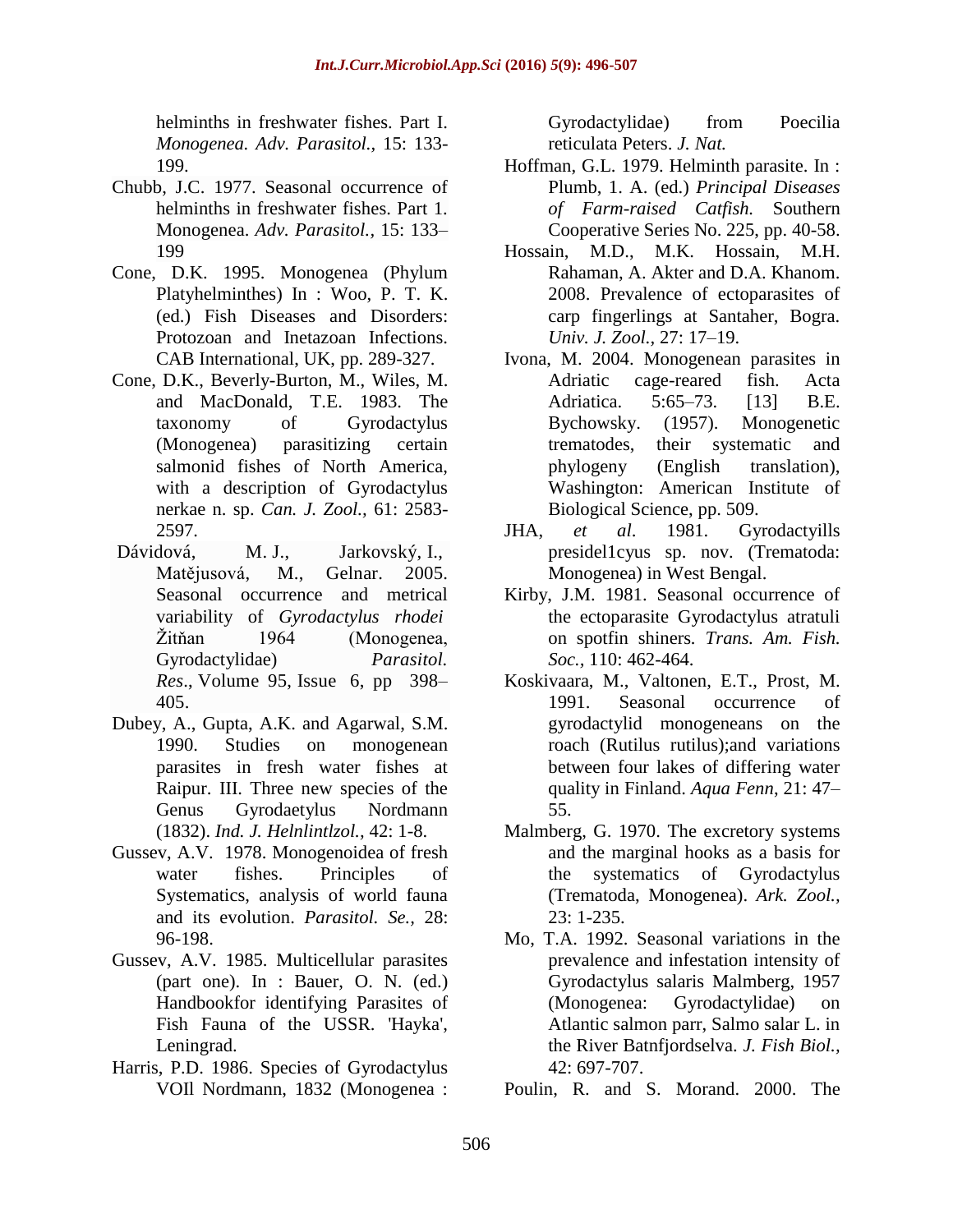helminths in freshwater fishes. Part I. *Monogenea. Adv. Parasitol.,* 15: 133- 199.

- Chubb, J.C. 1977. Seasonal occurrence of helminths in freshwater fishes. Part 1. Monogenea. *Adv. Parasitol.,* 15: 133– 199
- Cone, D.K. 1995. Monogenea (Phylum Platyhelminthes) In : Woo, P. T. K. (ed.) Fish Diseases and Disorders: Protozoan and Inetazoan Infections. CAB International, UK, pp. 289-327.
- Cone, D.K., Beverly-Burton, M., Wiles, M. and MacDonald, T.E. 1983. The taxonomy of Gyrodactylus (Monogenea) parasitizing certain salmonid fishes of North America, with a description of Gyrodactylus nerkae n. sp. *Can. J. Zool.,* 61: 2583- 2597.
- [Dávidová,](http://link.springer.com/article/10.1007/s00436-005-1311-0#author-details-1) M. [J., Jarkovský,](http://link.springer.com/article/10.1007/s00436-005-1311-0#author-details-2) [I.,](http://link.springer.com/article/10.1007/s00436-005-1311-0#author-details-3) [Matějusová,](http://link.springer.com/article/10.1007/s00436-005-1311-0#author-details-3) [M., Gelnar.](http://link.springer.com/article/10.1007/s00436-005-1311-0#author-details-4) 2005. Seasonal occurrence and metrical variability of *Gyrodactylus rhodei* Žitňan 1964 (Monogenea, Gyrodactylidae) *[Parasitol.](http://link.springer.com/journal/436) [Res](http://link.springer.com/journal/436)*., Volume 95, [Issue](http://link.springer.com/journal/436/95/6/page/1) 6, pp 398– 405.
- Dubey, A., Gupta, A.K. and Agarwal, S.M. 1990. Studies on monogenean parasites in fresh water fishes at Raipur. III. Three new species of the Genus Gyrodaetylus Nordmann (1832). *Ind. J. Helnlintlzol.,* 42: 1-8.
- Gussev, A.V. 1978. Monogenoidea of fresh water fishes. Principles of Systematics, analysis of world fauna and its evolution. *Parasitol. Se.,* 28: 96-198.
- Gussev, A.V. 1985. Multicellular parasites (part one). In : Bauer, O. N. (ed.) Handbookfor identifying Parasites of Fish Fauna of the USSR. 'Hayka', Leningrad.
- Harris, P.D. 1986. Species of Gyrodactylus VOIl Nordmann, 1832 (Monogenea :

Gyrodactylidae) from Poecilia reticulata Peters. *J. Nat.* 

- Hoffman, G.L. 1979. Helminth parasite. In : Plumb, 1. A. (ed.) *Principal Diseases of Farm-raised Catfish.* Southern Cooperative Series No. 225, pp. 40-58.
- Hossain, M.D., M.K. Hossain, M.H. Rahaman, A. Akter and D.A. Khanom. 2008. Prevalence of ectoparasites of carp fingerlings at Santaher, Bogra. *Univ. J. Zool.,* 27: 17–19.
- Ivona, M. 2004. Monogenean parasites in Adriatic cage-reared fish. Acta Adriatica. 5:65–73. [13] B.E. Bychowsky. (1957). Monogenetic trematodes, their systematic and phylogeny (English translation), Washington: American Institute of Biological Science, pp. 509.
- JHA, *et al*. 1981. Gyrodactyills presidel1cyus sp. nov. (Trematoda: Monogenea) in West Bengal.
- Kirby, J.M. 1981. Seasonal occurrence of the ectoparasite Gyrodactylus atratuli on spotfin shiners*. Trans. Am. Fish. Soc.,* 110: 462-464.
- Koskivaara, M., Valtonen, E.T., Prost, M. 1991. Seasonal occurrence of gyrodactylid monogeneans on the roach (Rutilus rutilus);and variations between four lakes of differing water quality in Finland. *Aqua Fenn*, 21: 47– 55.
- Malmberg, G. 1970. The excretory systems and the marginal hooks as a basis for the systematics of Gyrodactylus (Trematoda, Monogenea). *Ark. Zool.,* 23: 1-235.
- Mo, T.A. 1992. Seasonal variations in the prevalence and infestation intensity of Gyrodactylus salaris Malmberg, 1957 (Monogenea: Gyrodactylidae) on Atlantic salmon parr, Salmo salar L. in the River Batnfjordselva. *J. Fish Biol.,* 42: 697-707.

Poulin, R. and S. Morand. 2000. The